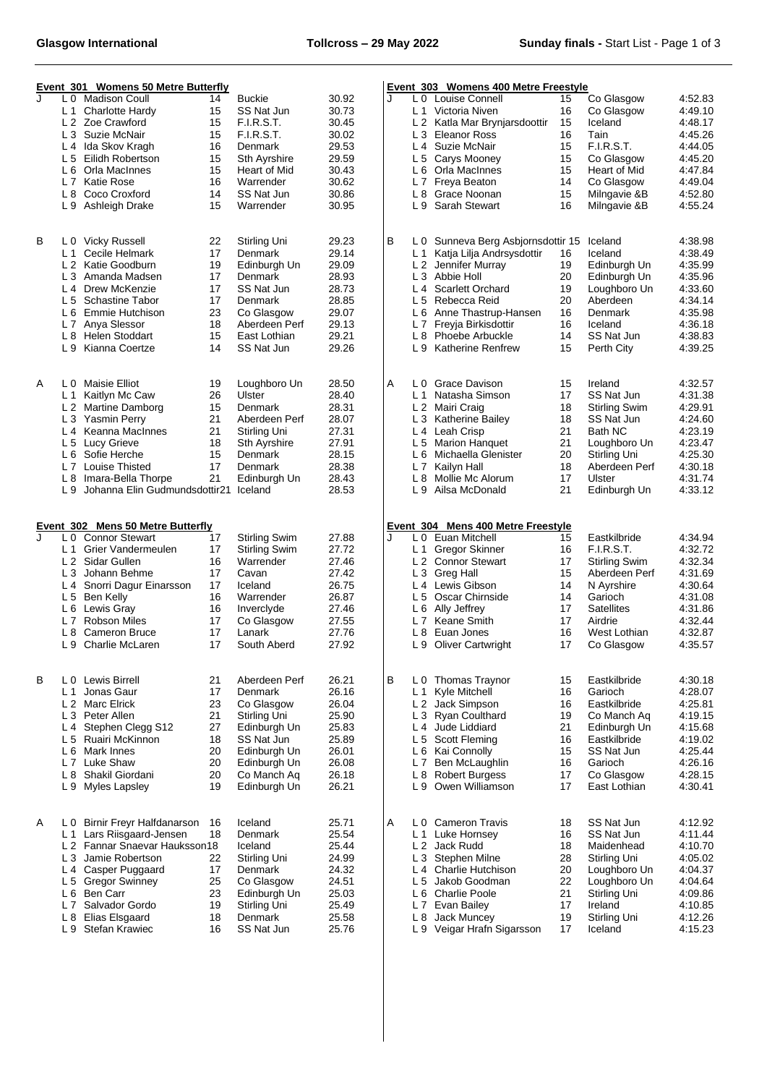| Event 301 Womens 50 Metre Butterfly |                                  |                                          |          |                         |                | Event 303 Womens 400 Metre Freestyle |                |                                           |          |                                |                    |
|-------------------------------------|----------------------------------|------------------------------------------|----------|-------------------------|----------------|--------------------------------------|----------------|-------------------------------------------|----------|--------------------------------|--------------------|
| J                                   |                                  | L 0 Madison Coull                        | 14       | <b>Buckie</b>           | 30.92          | J                                    |                | L 0 Louise Connell                        | 15       | Co Glasgow                     | 4:52.83            |
|                                     | L1                               | Charlotte Hardy                          | 15       | SS Nat Jun              | 30.73          |                                      |                | L <sub>1</sub> Victoria Niven             | 16       | Co Glasgow                     | 4:49.10            |
|                                     | L 2                              | Zoe Crawford                             | 15       | <b>F.I.R.S.T.</b>       | 30.45          |                                      |                | L 2 Katla Mar Brynjarsdoottir             | 15       | Iceland                        | 4:48.17            |
|                                     | L <sub>3</sub>                   | Suzie McNair                             | 15       | <b>F.I.R.S.T.</b>       | 30.02          |                                      |                | L 3 Eleanor Ross                          | 16       | Tain                           | 4:45.26            |
|                                     | L 4                              | Ida Skov Kragh                           | 16       | Denmark                 | 29.53          |                                      |                | L 4 Suzie McNair                          | 15       | F.I.R.S.T.                     | 4:44.05            |
|                                     | L <sub>5</sub>                   | Eilidh Robertson                         | 15       | <b>Sth Ayrshire</b>     | 29.59          |                                      | L <sub>5</sub> | Carys Mooney                              | 15       | Co Glasgow                     | 4:45.20            |
|                                     | L 6                              | Orla MacInnes                            | 15       | Heart of Mid            | 30.43          |                                      |                | L 6 Orla MacInnes                         | 15       | Heart of Mid                   | 4:47.84            |
|                                     | L <sub>7</sub>                   | Katie Rose                               | 16       | Warrender               | 30.62          |                                      | L <sub>7</sub> | Freya Beaton                              | 14       | Co Glasgow                     | 4:49.04            |
|                                     | L 8                              | Coco Croxford                            | 14       | SS Nat Jun              | 30.86          |                                      |                | L 8 Grace Noonan                          | 15       | Milngavie &B                   | 4:52.80            |
|                                     |                                  | L 9 Ashleigh Drake                       | 15       | Warrender               | 30.95          |                                      |                | L 9 Sarah Stewart                         | 16       | Milngavie &B                   | 4:55.24            |
| B                                   |                                  | L 0 Vicky Russell                        | 22       | Stirling Uni            | 29.23          | В                                    |                | L 0 Sunneva Berg Asbjornsdottir 15        |          | Iceland                        | 4:38.98            |
|                                     | L 1                              | Cecile Helmark                           | 17       | Denmark                 | 29.14          |                                      | L 1            | Katja Lilja Andrsysdottir                 | 16       | Iceland                        | 4:38.49            |
|                                     |                                  | L 2 Katie Goodburn                       | 19       | Edinburgh Un            | 29.09          |                                      |                | L 2 Jennifer Murray                       | 19       | Edinburgh Un                   | 4:35.99            |
|                                     | L <sub>3</sub>                   | Amanda Madsen                            | 17       | Denmark                 | 28.93          |                                      |                | L 3 Abbie Holl                            | 20       | Edinburgh Un                   | 4:35.96            |
|                                     | L <sub>4</sub>                   | Drew McKenzie                            | 17       | SS Nat Jun              | 28.73          |                                      |                | L <sub>4</sub> Scarlett Orchard           | 19       | Loughboro Un                   | 4:33.60            |
|                                     | L <sub>5</sub>                   | <b>Schastine Tabor</b>                   | 17       | Denmark                 | 28.85          |                                      |                | L 5 Rebecca Reid                          | 20       | Aberdeen                       | 4:34.14            |
|                                     | L <sub>6</sub>                   | Emmie Hutchison                          | 23       | Co Glasgow              | 29.07          |                                      |                | L 6 Anne Thastrup-Hansen                  | 16       | Denmark                        | 4:35.98            |
|                                     | L <sub>7</sub>                   | Anya Slessor                             | 18       | Aberdeen Perf           | 29.13          |                                      | L7             | Freyja Birkisdottir                       | 16       | Iceland                        | 4:36.18            |
|                                     | L <sub>8</sub>                   | Helen Stoddart                           | 15       | East Lothian            | 29.21          |                                      | L 8            | <b>Phoebe Arbuckle</b>                    | 14       | SS Nat Jun                     | 4:38.83            |
|                                     | L9                               | Kianna Coertze                           | 14       | SS Nat Jun              | 29.26          |                                      |                | L 9 Katherine Renfrew                     | 15       | Perth City                     | 4:39.25            |
|                                     |                                  |                                          |          |                         |                |                                      |                |                                           |          |                                |                    |
| Α                                   | L 0                              | <b>Maisie Elliot</b>                     | 19       | Loughboro Un            | 28.50          | Α                                    |                | L 0 Grace Davison                         | 15       | Ireland                        | 4:32.57            |
|                                     | L 1                              | Kaitlyn Mc Caw                           | 26       | Ulster                  | 28.40          |                                      |                | L 1 Natasha Simson                        | 17       | SS Nat Jun                     | 4:31.38            |
|                                     | L 2                              | Martine Damborg                          | 15       | Denmark                 | 28.31          |                                      |                | L 2 Mairi Craig                           | 18       | Stirling Swim                  | 4:29.91            |
|                                     |                                  | L 3 Yasmin Perry                         | 21       | Aberdeen Perf           | 28.07          |                                      |                | L 3 Katherine Bailey                      | 18       | SS Nat Jun                     | 4:24.60            |
|                                     | L4                               | Keanna MacInnes                          | 21       | Stirling Uni            | 27.31          |                                      |                | L 4 Leah Crisp                            | 21       | Bath NC                        | 4:23.19            |
|                                     | L <sub>5</sub>                   | Lucy Grieve                              | 18       | Sth Ayrshire            | 27.91          |                                      |                | L 5 Marion Hanquet                        | 21       | Loughboro Un                   | 4:23.47            |
|                                     | L <sub>6</sub>                   | Sofie Herche                             | 15       | Denmark                 | 28.15          |                                      | L 6            | Michaella Glenister                       | 20       | Stirling Uni                   | 4:25.30            |
|                                     | L <sub>7</sub>                   | Louise Thisted                           | 17       | Denmark                 | 28.38          |                                      | L <sub>7</sub> | Kailyn Hall                               | 18       | Aberdeen Perf                  | 4:30.18            |
|                                     | L 8                              | Imara-Bella Thorpe                       | 21       | Edinburgh Un            | 28.43          |                                      | L 8            | Mollie Mc Alorum                          | 17       | Ulster                         | 4:31.74            |
|                                     | L <sub>9</sub>                   | Johanna Elin Gudmundsdottir21            |          | Iceland                 | 28.53          |                                      |                | L 9 Ailsa McDonald                        | 21       | Edinburgh Un                   | 4:33.12            |
|                                     |                                  |                                          |          |                         |                |                                      |                |                                           |          |                                |                    |
|                                     |                                  |                                          |          |                         |                |                                      |                |                                           |          |                                |                    |
|                                     |                                  | <b>Event 302 Mens 50 Metre Butterfly</b> |          |                         |                | Π.                                   |                | Event 304 Mens 400 Metre Freestyle        |          |                                |                    |
| J                                   | L 0                              | <b>Connor Stewart</b>                    | 17       | <b>Stirling Swim</b>    | 27.88          |                                      |                | L 0 Euan Mitchell                         | 15<br>16 | Eastkilbride                   | 4:34.94            |
|                                     | L 1<br>L <sub>2</sub>            | Grier Vandermeulen<br>Sidar Gullen       | 17       | Stirling Swim           | 27.72          |                                      |                | L 1 Gregor Skinner                        | 17       | <b>F.I.R.S.T.</b>              | 4:32.72            |
|                                     | L <sub>3</sub>                   | Johann Behme                             | 16<br>17 | Warrender<br>Cavan      | 27.46<br>27.42 |                                      |                | L 2 Connor Stewart                        | 15       | Stirling Swim<br>Aberdeen Perf | 4:32.34<br>4:31.69 |
|                                     | L 4                              |                                          | 17       | Iceland                 | 26.75          |                                      |                | L 3 Greg Hall<br>L 4 Lewis Gibson         | 14       | N Ayrshire                     | 4:30.64            |
|                                     | L <sub>5</sub>                   | Snorri Dagur Einarsson<br>Ben Kelly      | 16       | Warrender               | 26.87          |                                      |                | L 5 Oscar Chirnside                       | 14       | Garioch                        | 4:31.08            |
|                                     | L 6                              | Lewis Gray                               | 16       | Inverclyde              | 27.46          |                                      |                | L 6 Ally Jeffrey                          | 17       | Satellites                     | 4:31.86            |
|                                     | L7                               | <b>Robson Miles</b>                      | 17       | Co Glasgow              | 27.55          |                                      |                | L 7 Keane Smith                           | 17       | Airdrie                        | 4:32.44            |
|                                     | L <sub>8</sub>                   | Cameron Bruce                            | 17       | Lanark                  | 27.76          |                                      | L 8            | Euan Jones                                | 16       | West Lothian                   | 4:32.87            |
|                                     |                                  | L 9 Charlie McLaren                      | 17       | South Aberd             | 27.92          |                                      |                | L 9 Oliver Cartwright                     | 17       | Co Glasgow                     | 4:35.57            |
|                                     |                                  |                                          |          |                         |                |                                      |                |                                           |          |                                |                    |
| B                                   |                                  | L 0 Lewis Birrell                        | 21       | Aberdeen Perf           | 26.21          | В                                    |                | L 0 Thomas Traynor                        | 15       | Eastkilbride                   | 4:30.18            |
|                                     | L <sub>1</sub>                   | Jonas Gaur                               | 17       | <b>Denmark</b>          | 26.16          |                                      | $L_1$          | Kvle Mitchell                             | 16       | Garioch                        | 4:28.07            |
|                                     | L <sub>2</sub>                   | <b>Marc Elrick</b>                       | 23       | Co Glasgow              | 26.04          |                                      |                | L 2 Jack Simpson                          | 16       | Eastkilbride                   | 4:25.81            |
|                                     | L <sub>3</sub>                   | Peter Allen                              | 21       | Stirling Uni            | 25.90          |                                      | L <sub>3</sub> | <b>Rvan Coulthard</b>                     | 19       | Co Manch Aq                    | 4:19.15            |
|                                     | L4                               | Stephen Clegg S12                        | 27       | Edinburgh Un            | 25.83          |                                      |                | L <sub>4</sub> Jude Liddiard              | 21       | Edinburgh Un                   | 4:15.68            |
|                                     | L <sub>5</sub>                   | Ruairi McKinnon                          | 18       | SS Nat Jun              | 25.89          |                                      |                | L 5 Scott Fleming                         | 16       | Eastkilbride                   | 4:19.02            |
|                                     |                                  | L 6 Mark Innes                           | 20       | Edinburgh Un            | 26.01          |                                      |                | L 6 Kai Connolly                          | 15       | SS Nat Jun                     | 4:25.44            |
|                                     | L <sub>7</sub>                   | Luke Shaw                                | 20       | Edinburgh Un            | 26.08          |                                      | L7             | Ben McLaughlin                            | 16       | Garioch                        | 4:26.16            |
|                                     |                                  | L 8 Shakil Giordani                      | 20       | Co Manch Ag             | 26.18          |                                      |                | L 8 Robert Burgess                        | 17       | Co Glasgow                     | 4:28.15            |
|                                     |                                  | L 9 Myles Lapsley                        | 19       | Edinburgh Un            | 26.21          |                                      |                | L 9 Owen Williamson                       | 17       | East Lothian                   | 4:30.41            |
|                                     |                                  |                                          |          |                         |                |                                      |                |                                           |          |                                |                    |
| Α                                   | L <sub>0</sub>                   | <b>Birnir Freyr Halfdanarson</b>         | 16       | Iceland                 | 25.71          | A                                    |                | L 0 Cameron Travis                        | 18       | SS Nat Jun                     | 4:12.92            |
|                                     | L <sub>1</sub>                   | Lars Riisgaard-Jensen                    | 18       | Denmark                 | 25.54          |                                      | $L_1$          | Luke Hornsey                              | 16       | SS Nat Jun                     | 4:11.44            |
|                                     | L <sub>2</sub>                   | Fannar Snaevar Hauksson18                |          | Iceland                 | 25.44          |                                      |                | L 2 Jack Rudd                             | 18       | Maidenhead                     | 4:10.70            |
|                                     | L <sub>3</sub>                   | Jamie Robertson                          | 22       | Stirling Uni            | 24.99          |                                      |                | L 3 Stephen Milne                         | 28       | Stirling Uni                   | 4:05.02            |
|                                     | L4                               | Casper Puggaard                          | 17       | Denmark                 | 24.32          |                                      | L 4            | <b>Charlie Hutchison</b>                  | 20       | Loughboro Un                   | 4:04.37            |
|                                     | L <sub>5</sub><br>L <sub>6</sub> | <b>Gregor Swinney</b><br>Ben Carr        | 25<br>23 | Co Glasgow              | 24.51<br>25.03 |                                      | L 6            | L 5 Jakob Goodman<br><b>Charlie Poole</b> | 22<br>21 | Loughboro Un                   | 4:04.64<br>4:09.86 |
|                                     | L <sub>7</sub>                   | Salvador Gordo                           | 19       | Edinburgh Un            | 25.49          |                                      |                |                                           | 17       | Stirling Uni<br>Ireland        | 4:10.85            |
|                                     | L 8                              | Elias Elsgaard                           | 18       | Stirling Uni<br>Denmark | 25.58          |                                      |                | L 7 Evan Bailey<br>L 8 Jack Muncey        | 19       | Stirling Uni                   | 4:12.26            |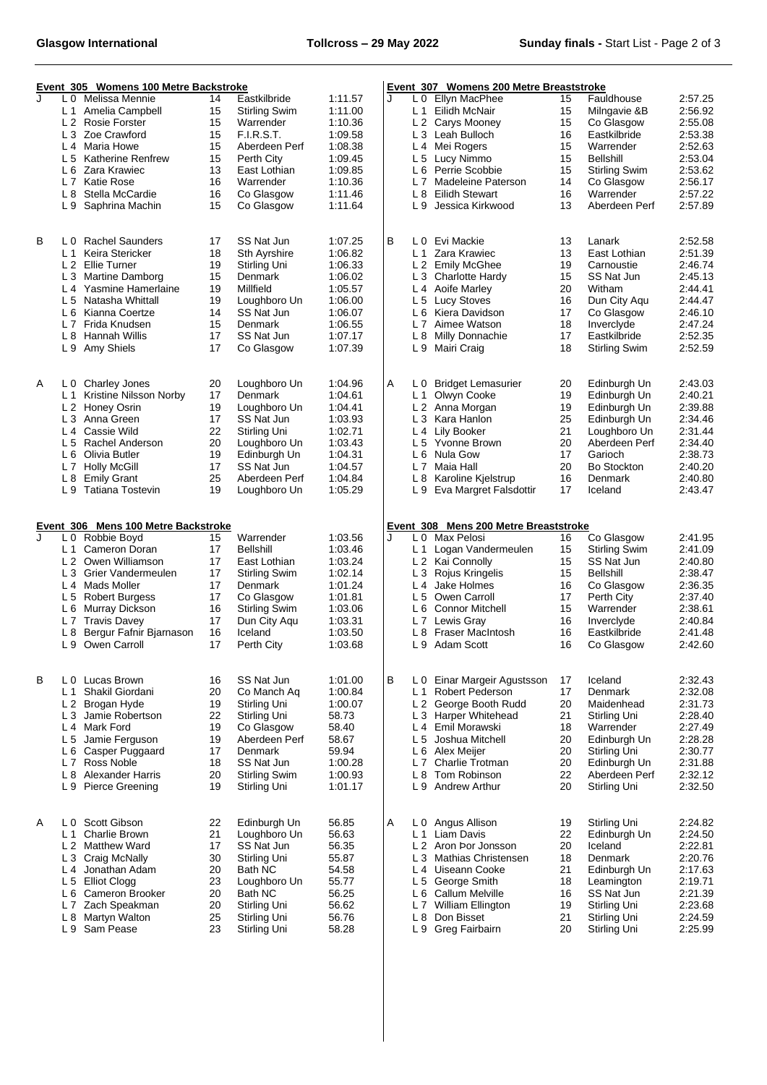| Event 305 Womens 100 Metre Backstroke |                       |                                                    |          |                               | Event 307 Womens 200 Metre Breaststroke |   |                       |                                                         |          |                              |                    |
|---------------------------------------|-----------------------|----------------------------------------------------|----------|-------------------------------|-----------------------------------------|---|-----------------------|---------------------------------------------------------|----------|------------------------------|--------------------|
| J                                     | L 0                   | Melissa Mennie                                     | 14       | Eastkilbride                  | 1:11.57                                 | J |                       | L 0 Ellyn MacPhee                                       | 15       | Fauldhouse                   | 2:57.25            |
|                                       | L 1                   | Amelia Campbell                                    | 15       | Stirling Swim                 | 1:11.00                                 |   |                       | L 1 Eilidh McNair                                       | 15       | Milngavie &B                 | 2:56.92            |
|                                       | L <sub>2</sub>        | Rosie Forster                                      | 15       | Warrender                     | 1:10.36                                 |   |                       | L 2 Carys Mooney                                        | 15       | Co Glasgow                   | 2:55.08            |
|                                       | L <sub>3</sub>        | Zoe Crawford                                       | 15       | <b>F.I.R.S.T.</b>             | 1:09.58                                 |   |                       | L 3 Leah Bulloch                                        | 16       | Eastkilbride                 | 2:53.38            |
|                                       | $L_4$                 | Maria Howe                                         | 15       | Aberdeen Perf                 | 1:08.38                                 |   | L 4                   | Mei Rogers                                              | 15       | Warrender                    | 2:52.63            |
|                                       | L <sub>5</sub>        | <b>Katherine Renfrew</b>                           | 15       | Perth City                    | 1:09.45                                 |   | L <sub>5</sub>        | Lucy Nimmo                                              | 15       | <b>Bellshill</b>             | 2:53.04            |
|                                       | L 6                   | Zara Krawiec                                       | 13       | East Lothian                  | 1:09.85                                 |   | L 6                   | Perrie Scobbie                                          | 15       | <b>Stirling Swim</b>         | 2:53.62            |
|                                       | L <sub>7</sub>        | Katie Rose                                         | 16       | Warrender                     | 1:10.36                                 |   | L <sub>7</sub>        | Madeleine Paterson                                      | 14       | Co Glasgow                   | 2:56.17            |
|                                       | L 8                   | Stella McCardie                                    | 16       | Co Glasgow                    | 1:11.46                                 |   | L 8                   | Eilidh Stewart                                          | 16       | Warrender                    | 2:57.22            |
|                                       | L9                    | Saphrina Machin                                    | 15       | Co Glasgow                    | 1:11.64                                 |   | L 9                   | Jessica Kirkwood                                        | 13       | Aberdeen Perf                | 2:57.89            |
| B                                     |                       | L 0 Rachel Saunders                                | 17       | SS Nat Jun                    | 1:07.25                                 | В |                       | L 0 Evi Mackie                                          | 13       | Lanark                       | 2:52.58            |
|                                       | L <sub>1</sub>        | Keira Stericker                                    | 18       | Sth Ayrshire                  | 1:06.82                                 |   | L <sub>1</sub>        | Zara Krawiec                                            | 13       | East Lothian                 | 2:51.39            |
|                                       |                       | L 2 Ellie Turner                                   | 19       | Stirling Uni                  | 1:06.33                                 |   |                       | L 2 Emily McGhee                                        | 19       | Carnoustie                   | 2:46.74            |
|                                       | L <sub>3</sub>        | Martine Damborg                                    | 15       | Denmark                       | 1:06.02                                 |   | L <sub>3</sub>        | Charlotte Hardy                                         | 15       | SS Nat Jun                   | 2:45.13            |
|                                       | L4                    | Yasmine Hamerlaine                                 | 19       | Millfield                     | 1:05.57                                 |   |                       | L 4 Aoife Marley                                        | 20       | Witham                       | 2:44.41            |
|                                       | L <sub>5</sub>        | Natasha Whittall                                   | 19       | Loughboro Un                  | 1:06.00                                 |   |                       | L 5 Lucy Stoves                                         | 16       | Dun City Agu                 | 2:44.47            |
|                                       | L 6                   | Kianna Coertze                                     | 14       | SS Nat Jun                    | 1:06.07                                 |   | L 6                   | Kiera Davidson                                          | 17       | Co Glasgow                   | 2:46.10            |
|                                       | L <sub>7</sub>        | Frida Knudsen                                      | 15       | Denmark                       | 1:06.55                                 |   | L <sub>7</sub>        | Aimee Watson                                            | 18       | Inverclyde                   | 2:47.24            |
|                                       | L 8                   | Hannah Willis                                      | 17       | SS Nat Jun                    | 1:07.17                                 |   | L 8                   | Milly Donnachie                                         | 17       | Eastkilbride                 | 2:52.35            |
|                                       | L 9                   | Amy Shiels                                         | 17       | Co Glasgow                    | 1:07.39                                 |   | L 9                   | Mairi Craig                                             | 18       | <b>Stirling Swim</b>         | 2:52.59            |
| А                                     |                       |                                                    | 20       | Loughboro Un                  | 1:04.96                                 | Α |                       |                                                         | 20       | Edinburgh Un                 | 2:43.03            |
|                                       | L 0<br>L 1            | <b>Charley Jones</b><br>Kristine Nilsson Norby     | 17       | Denmark                       | 1:04.61                                 |   | L 0<br>L <sub>1</sub> | <b>Bridget Lemasurier</b><br>Olwyn Cooke                | 19       | Edinburgh Un                 | 2:40.21            |
|                                       | L <sub>2</sub>        | <b>Honey Osrin</b>                                 | 19       | Loughboro Un                  | 1:04.41                                 |   |                       | L 2 Anna Morgan                                         | 19       | Edinburgh Un                 | 2:39.88            |
|                                       | L <sub>3</sub>        | Anna Green                                         | 17       | SS Nat Jun                    | 1:03.93                                 |   |                       | L 3 Kara Hanlon                                         | 25       | Edinburgh Un                 | 2:34.46            |
|                                       | L4                    | Cassie Wild                                        | 22       | Stirling Uni                  | 1:02.71                                 |   | L 4                   | Lily Booker                                             | 21       | Loughboro Un                 | 2:31.44            |
|                                       | L <sub>5</sub>        | Rachel Anderson                                    | 20       | Loughboro Un                  | 1:03.43                                 |   |                       | L 5 Yvonne Brown                                        | 20       | Aberdeen Perf                | 2:34.40            |
|                                       | L 6                   | Olivia Butler                                      | 19       | Edinburgh Un                  | 1:04.31                                 |   | L 6                   | Nula Gow                                                | 17       | Garioch                      | 2:38.73            |
|                                       | L7                    | <b>Holly McGill</b>                                | 17       | SS Nat Jun                    | 1:04.57                                 |   |                       | L 7 Maia Hall                                           | 20       | <b>Bo Stockton</b>           | 2:40.20            |
|                                       | L 8                   | <b>Emily Grant</b>                                 | 25       | Aberdeen Perf                 | 1:04.84                                 |   | L 8                   | Karoline Kjelstrup                                      | 16       | Denmark                      | 2:40.80            |
|                                       | L9                    | <b>Tatiana Tostevin</b>                            | 19       | Loughboro Un                  | 1:05.29                                 |   |                       | L 9 Eva Margret Falsdottir                              | 17       | Iceland                      | 2:43.47            |
|                                       |                       |                                                    |          |                               |                                         |   |                       |                                                         |          |                              |                    |
| J                                     |                       | Event 306 Mens 100 Metre Backstroke<br>Robbie Boyd |          |                               | 1:03.56                                 | J |                       | Event 308 Mens 200 Metre Breaststroke<br>L 0 Max Pelosi |          | Co Glasgow                   | 2:41.95            |
|                                       | L 0<br>L <sub>1</sub> | Cameron Doran                                      | 15<br>17 | Warrender<br><b>Bellshill</b> | 1:03.46                                 |   |                       | L 1 Logan Vandermeulen                                  | 16<br>15 | Stirling Swim                | 2:41.09            |
|                                       | L <sub>2</sub>        | Owen Williamson                                    | 17       | East Lothian                  | 1:03.24                                 |   |                       | L 2 Kai Connolly                                        | 15       | SS Nat Jun                   | 2:40.80            |
|                                       | L <sub>3</sub>        | Grier Vandermeulen                                 | 17       | Stirling Swim                 | 1:02.14                                 |   |                       | L 3 Rojus Kringelis                                     | 15       | <b>Bellshill</b>             | 2:38.47            |
|                                       | L4                    | Mads Moller                                        | 17       | Denmark                       | 1:01.24                                 |   | L4                    | Jake Holmes                                             | 16       | Co Glasgow                   | 2:36.35            |
|                                       | L <sub>5</sub>        | <b>Robert Burgess</b>                              | 17       | Co Glasgow                    | 1:01.81                                 |   |                       | L 5 Owen Carroll                                        | 17       | Perth City                   | 2:37.40            |
|                                       | L 6                   | Murray Dickson                                     | 16       | Stirling Swim                 | 1:03.06                                 |   | L 6                   | Connor Mitchell                                         | 15       | Warrender                    | 2:38.61            |
|                                       | L <sub>7</sub>        | <b>Travis Davey</b>                                | 17       | Dun City Aqu                  | 1:03.31                                 |   |                       | L 7 Lewis Gray                                          | 16       | Inverclyde                   | 2:40.84            |
|                                       | L 8                   | Bergur Fafnir Bjarnason                            | 16       | Iceland                       | 1:03.50                                 |   | L 8                   | <b>Fraser MacIntosh</b>                                 | 16       | Eastkilbride                 | 2:41.48            |
|                                       | L 9                   | Owen Carroll                                       | 17       | Perth City                    | 1:03.68                                 |   |                       |                                                         |          |                              |                    |
|                                       |                       |                                                    |          |                               |                                         |   |                       |                                                         |          |                              |                    |
|                                       |                       |                                                    |          |                               |                                         |   |                       | L 9 Adam Scott                                          | 16       | Co Glasgow                   | 2:42.60            |
|                                       | L 0                   | Lucas Brown                                        | 16       | SS Nat Jun                    | 1:01.00                                 | B | L 0                   | Einar Margeir Agustsson                                 | 17       | Iceland                      | 2:32.43            |
|                                       | L <sub>1</sub>        | Shakil Giordani                                    | 20       | Co Manch Ag                   | 1:00.84                                 |   | $L_1$                 | Robert Pederson                                         | 17       | Denmark                      | 2:32.08            |
|                                       | L <sub>2</sub>        | Brogan Hyde                                        | 19       | Stirling Uni                  | 1:00.07                                 |   | L 2                   | George Booth Rudd                                       | 20       | Maidenhead                   | 2:31.73            |
|                                       | L <sub>3</sub>        | Jamie Robertson                                    | 22       | Stirling Uni                  | 58.73                                   |   | $L_3$                 | Harper Whitehead                                        | 21       | Stirling Uni                 | 2:28.40            |
|                                       | L <sub>4</sub>        | Mark Ford                                          | 19       | Co Glasgow                    | 58.40                                   |   |                       | L 4 Emil Morawski                                       | 18       | Warrender                    | 2:27.49            |
|                                       | L <sub>5</sub>        | Jamie Ferguson                                     | 19       | Aberdeen Perf                 | 58.67                                   |   | L <sub>5</sub>        | Joshua Mitchell                                         | 20       | Edinburgh Un                 | 2:28.28            |
| B                                     | L 6                   | Casper Puggaard                                    | 17       | Denmark                       | 59.94                                   |   |                       | L 6 Alex Meijer                                         | 20       | Stirling Uni                 | 2:30.77            |
|                                       | L <sub>7</sub>        | Ross Noble                                         | 18       | SS Nat Jun                    | 1:00.28                                 |   | L 7                   | Charlie Trotman                                         | 20       | Edinburgh Un                 | 2:31.88            |
|                                       | L 8                   | <b>Alexander Harris</b>                            | 20       | <b>Stirling Swim</b>          | 1:00.93                                 |   |                       | L 8 Tom Robinson                                        | 22       | Aberdeen Perf                | 2:32.12            |
|                                       | L 9                   | <b>Pierce Greening</b>                             | 19       | Stirling Uni                  | 1:01.17                                 |   |                       | L 9 Andrew Arthur                                       | 20       | Stirling Uni                 | 2:32.50            |
|                                       | L 0                   | Scott Gibson                                       | 22       | Edinburgh Un                  | 56.85                                   | Α |                       | L 0 Angus Allison                                       | 19       | Stirling Uni                 | 2:24.82            |
|                                       | L <sub>1</sub>        | <b>Charlie Brown</b>                               | 21       | Loughboro Un                  | 56.63                                   |   | L <sub>1</sub>        | Liam Davis                                              | 22       | Edinburgh Un                 | 2:24.50            |
|                                       | L <sub>2</sub>        | <b>Matthew Ward</b>                                | 17       | SS Nat Jun                    | 56.35                                   |   |                       | L 2 Aron Þor Jonsson                                    | 20       | Iceland                      | 2:22.81            |
|                                       | L <sub>3</sub>        | Craig McNally                                      | 30       | Stirling Uni                  | 55.87                                   |   | L <sub>3</sub>        | Mathias Christensen                                     | 18       | Denmark                      | 2:20.76            |
| Α                                     | L4                    | Jonathan Adam                                      | 20       | Bath NC                       | 54.58                                   |   | L4                    | Uiseann Cooke                                           | 21       | Edinburgh Un                 | 2:17.63            |
|                                       | L <sub>5</sub>        | <b>Elliot Clogg</b>                                | 23       | Loughboro Un                  | 55.77                                   |   |                       | L 5 George Smith                                        | 18       | Leamington                   | 2:19.71            |
|                                       | L 6                   | Cameron Brooker                                    | 20       | Bath NC                       | 56.25                                   |   | L 6                   | Callum Melville                                         | 16       | SS Nat Jun                   | 2:21.39            |
|                                       | L <sub>7</sub>        | Zach Speakman                                      | 20       | Stirling Uni                  | 56.62                                   |   |                       | L 7 William Ellington                                   | 19       | Stirling Uni                 | 2:23.68            |
|                                       | L 8                   | Martyn Walton<br>L 9 Sam Pease                     | 25<br>23 | Stirling Uni<br>Stirling Uni  | 56.76<br>58.28                          |   | L 8                   | Don Bisset<br>L 9 Greg Fairbairn                        | 21<br>20 | Stirling Uni<br>Stirling Uni | 2:24.59<br>2:25.99 |